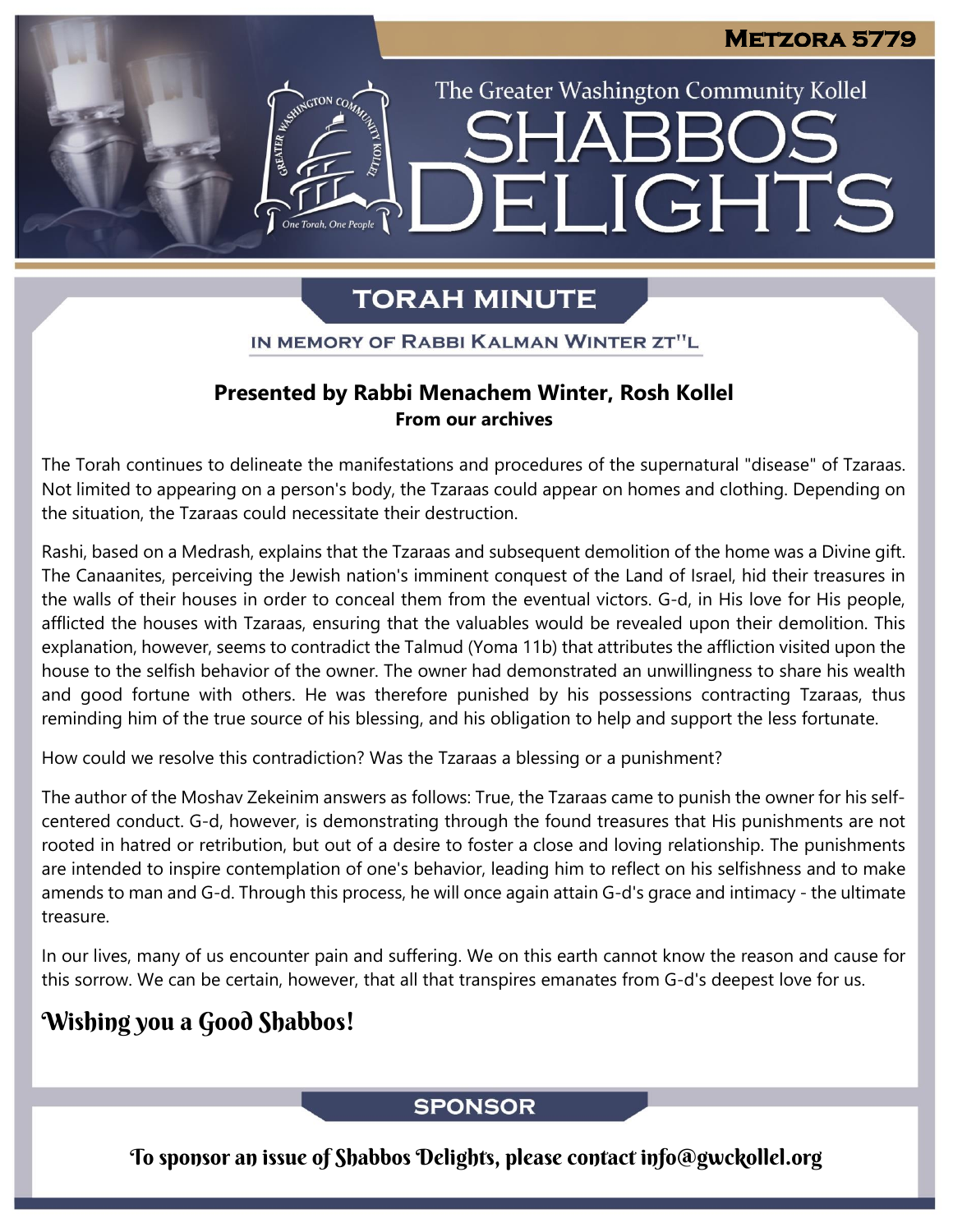The Greater Washington Community Kollel

ELIGHTS

# **TORAH MINUTE**

IN MEMORY OF RABBI KALMAN WINTER ZT"L

### **Presented by Rabbi Menachem Winter, Rosh Kollel From our archives**

The Torah continues to delineate the manifestations and procedures of the supernatural "disease" of Tzaraas. Not limited to appearing on a person's body, the Tzaraas could appear on homes and clothing. Depending on the situation, the Tzaraas could necessitate their destruction.

Rashi, based on a Medrash, explains that the Tzaraas and subsequent demolition of the home was a Divine gift. The Canaanites, perceiving the Jewish nation's imminent conquest of the Land of Israel, hid their treasures in the walls of their houses in order to conceal them from the eventual victors. G-d, in His love for His people, afflicted the houses with Tzaraas, ensuring that the valuables would be revealed upon their demolition. This explanation, however, seems to contradict the Talmud (Yoma 11b) that attributes the affliction visited upon the house to the selfish behavior of the owner. The owner had demonstrated an unwillingness to share his wealth and good fortune with others. He was therefore punished by his possessions contracting Tzaraas, thus reminding him of the true source of his blessing, and his obligation to help and support the less fortunate.

How could we resolve this contradiction? Was the Tzaraas a blessing or a punishment?

The author of the Moshav Zekeinim answers as follows: True, the Tzaraas came to punish the owner for his selfcentered conduct. G-d, however, is demonstrating through the found treasures that His punishments are not rooted in hatred or retribution, but out of a desire to foster a close and loving relationship. The punishments are intended to inspire contemplation of one's behavior, leading him to reflect on his selfishness and to make amends to man and G-d. Through this process, he will once again attain G-d's grace and intimacy - the ultimate treasure.

In our lives, many of us encounter pain and suffering. We on this earth cannot know the reason and cause for this sorrow. We can be certain, however, that all that transpires emanates from G-d's deepest love for us.

## Wishing you a Good Shabbos!

### **SPONSOR**

To sponsor an issue of Shabbos Delights, please contact info@gwckollel.org